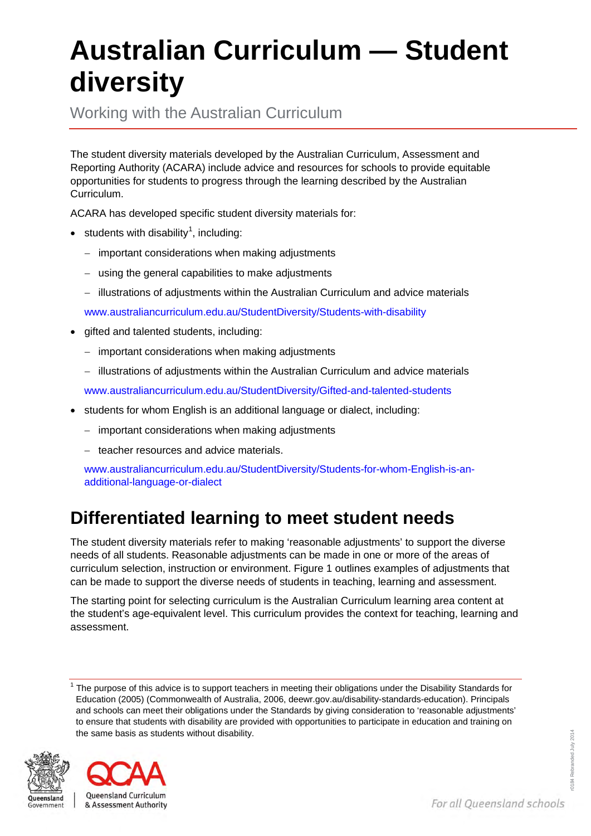## **Australian Curriculum — Student diversity**

Working with the Australian Curriculum

The student diversity materials developed by the Australian Curriculum, Assessment and Reporting Authority (ACARA) include advice and resources for schools to provide equitable opportunities for students to progress through the learning described by the Australian Curriculum.

ACARA has developed specific student diversity materials for:

- $\bullet$  students with disability<sup>[1](#page-0-0)</sup>, including:
	- − important considerations when making adjustments
	- − using the general capabilities to make adjustments
	- − illustrations of adjustments within the Australian Curriculum and advice materials

[www.australiancurriculum.edu.au/StudentDiversity/Students-with-disability](http://www.australiancurriculum.edu.au/StudentDiversity/Students-with-disability)

- gifted and talented students, including:
	- − important considerations when making adjustments
	- − illustrations of adjustments within the Australian Curriculum and advice materials

[www.australiancurriculum.edu.au/StudentDiversity/Gifted-and-talented-students](http://www.australiancurriculum.edu.au/StudentDiversity/Gifted-and-talented-students)

- students for whom English is an additional language or dialect, including:
	- − important considerations when making adjustments
	- − teacher resources and advice materials.

[www.australiancurriculum.edu.au/StudentDiversity/Students-for-whom-English-is-an](http://www.australiancurriculum.edu.au/StudentDiversity/Students-for-whom-English-is-an-additional-language-or-dialect)[additional-language-or-dialect](http://www.australiancurriculum.edu.au/StudentDiversity/Students-for-whom-English-is-an-additional-language-or-dialect)

## **Differentiated learning to meet student needs**

The student diversity materials refer to making 'reasonable adjustments' to support the diverse needs of all students. Reasonable adjustments can be made in one or more of the areas of curriculum selection, instruction or environment. [Figure 1](#page-1-0) outlines examples of adjustments that can be made to support the diverse needs of students in teaching, learning and assessment.

The starting point for selecting curriculum is the Australian Curriculum learning area content at the student's age-equivalent level. This curriculum provides the context for teaching, learning and assessment.

<span id="page-0-0"></span><sup>1</sup> The purpose of this advice is to support teachers in meeting their obligations under the Disability Standards for Education (2005) (Commonwealth of Australia, 2006[, deewr.gov.au/disability-standards-education\)](http://deewr.gov.au/disability-standards-education). Principals and schools can meet their obligations under the Standards by giving consideration to 'reasonable adjustments' to ensure that students with disability are provided with opportunities to participate in education and training on the same basis as students without disability.